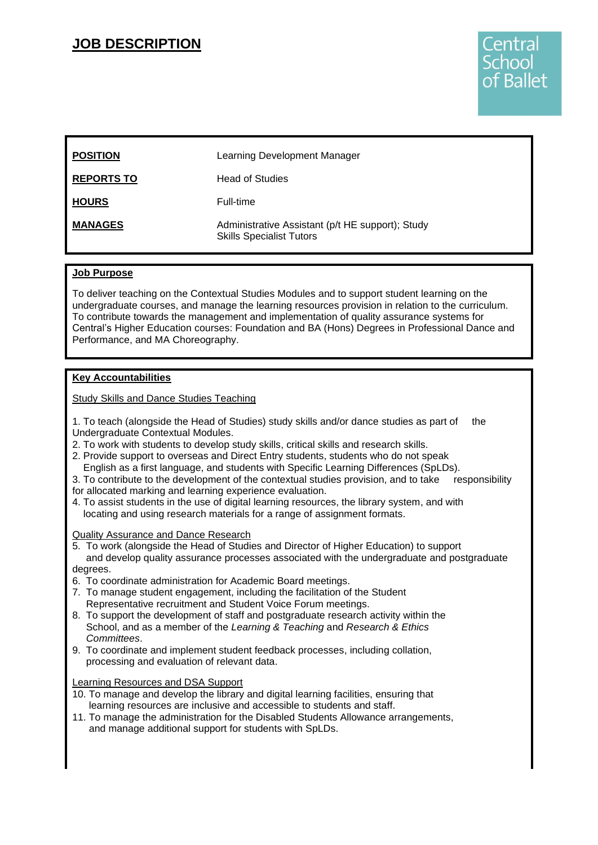## **JOB DESCRIPTION**



| <b>POSITION</b>   | Learning Development Manager                                                        |
|-------------------|-------------------------------------------------------------------------------------|
| <b>REPORTS TO</b> | <b>Head of Studies</b>                                                              |
| <b>HOURS</b>      | Full-time                                                                           |
| <b>MANAGES</b>    | Administrative Assistant (p/t HE support); Study<br><b>Skills Specialist Tutors</b> |

## **Job Purpose**

To deliver teaching on the Contextual Studies Modules and to support student learning on the undergraduate courses, and manage the learning resources provision in relation to the curriculum. To contribute towards the management and implementation of quality assurance systems for Central's Higher Education courses: Foundation and BA (Hons) Degrees in Professional Dance and Performance, and MA Choreography.

## **Key Accountabilities**

Study Skills and Dance Studies Teaching

1. To teach (alongside the Head of Studies) study skills and/or dance studies as part of the Undergraduate Contextual Modules.

- 2. To work with students to develop study skills, critical skills and research skills.
- 2. Provide support to overseas and Direct Entry students, students who do not speak English as a first language, and students with Specific Learning Differences (SpLDs).
- 3. To contribute to the development of the contextual studies provision, and to take responsibility for allocated marking and learning experience evaluation.
- 4. To assist students in the use of digital learning resources, the library system, and with locating and using research materials for a range of assignment formats.

Quality Assurance and Dance Research

- 5. To work (alongside the Head of Studies and Director of Higher Education) to support and develop quality assurance processes associated with the undergraduate and postgraduate degrees.
- 6. To coordinate administration for Academic Board meetings.
- 7. To manage student engagement, including the facilitation of the Student Representative recruitment and Student Voice Forum meetings.
- 8. To support the development of staff and postgraduate research activity within the School, and as a member of the *Learning & Teaching* and *Research & Ethics Committees*.
- 9. To coordinate and implement student feedback processes, including collation, processing and evaluation of relevant data.

#### Learning Resources and DSA Support

- 10. To manage and develop the library and digital learning facilities, ensuring that learning resources are inclusive and accessible to students and staff.
- 11. To manage the administration for the Disabled Students Allowance arrangements, and manage additional support for students with SpLDs.